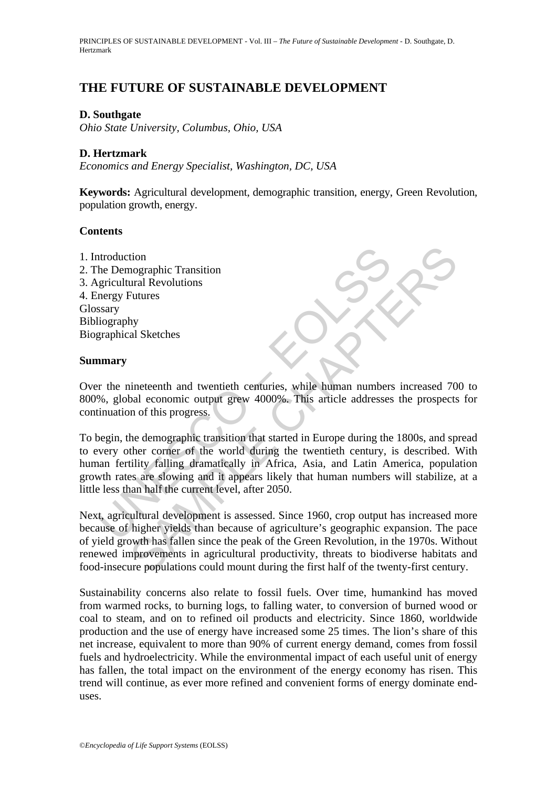# **THE FUTURE OF SUSTAINABLE DEVELOPMENT**

### **D. Southgate**

*Ohio State University, Columbus, Ohio, USA* 

### **D. Hertzmark**

*Economics and Energy Specialist, Washington, DC, USA* 

**Keywords:** Agricultural development, demographic transition, energy, Green Revolution, population growth, energy.

### **Contents**

1. Introduction 2. The Demographic Transition 3. Agricultural Revolutions 4. Energy Futures Glossary Bibliography Biographical Sketches

### **Summary**

Over the nineteenth and twentieth centuries, while human numbers increased 700 to 800%, global economic output grew 4000%. This article addresses the prospects for continuation of this progress.

ntroduction<br>the Demographic Transition<br>gricultural Revolutions<br>stary<br>stary<br>stary<br>fugraphy<br>are represented and twentieth centuries, while human numbers<br> $\%$ , global economic output grew 4000%. This article addresses<br>inuatio The momentain and the set all modes of the twenty-first centure<br>
Set also consider the set all modes of the two sets of the two sets of the two sets of the demographic transition that started in Europe during the 1800s, an To begin, the demographic transition that started in Europe during the 1800s, and spread to every other corner of the world during the twentieth century, is described. With human fertility falling dramatically in Africa, Asia, and Latin America, population growth rates are slowing and it appears likely that human numbers will stabilize, at a little less than half the current level, after 2050.

Next, agricultural development is assessed. Since 1960, crop output has increased more because of higher yields than because of agriculture's geographic expansion. The pace of yield growth has fallen since the peak of the Green Revolution, in the 1970s. Without renewed improvements in agricultural productivity, threats to biodiverse habitats and food-insecure populations could mount during the first half of the twenty-first century.

Sustainability concerns also relate to fossil fuels. Over time, humankind has moved from warmed rocks, to burning logs, to falling water, to conversion of burned wood or coal to steam, and on to refined oil products and electricity. Since 1860, worldwide production and the use of energy have increased some 25 times. The lion's share of this net increase, equivalent to more than 90% of current energy demand, comes from fossil fuels and hydroelectricity. While the environmental impact of each useful unit of energy has fallen, the total impact on the environment of the energy economy has risen. This trend will continue, as ever more refined and convenient forms of energy dominate enduses.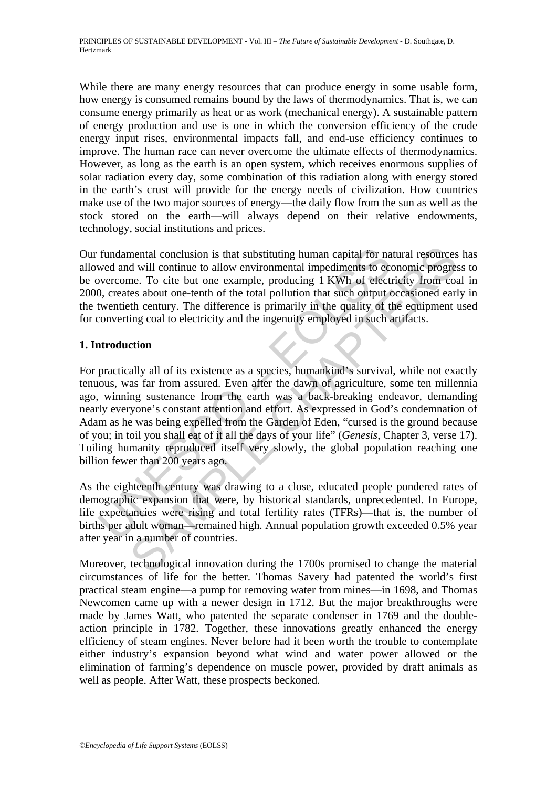While there are many energy resources that can produce energy in some usable form, how energy is consumed remains bound by the laws of thermodynamics. That is, we can consume energy primarily as heat or as work (mechanical energy). A sustainable pattern of energy production and use is one in which the conversion efficiency of the crude energy input rises, environmental impacts fall, and end-use efficiency continues to improve. The human race can never overcome the ultimate effects of thermodynamics. However, as long as the earth is an open system, which receives enormous supplies of solar radiation every day, some combination of this radiation along with energy stored in the earth's crust will provide for the energy needs of civilization. How countries make use of the two major sources of energy—the daily flow from the sun as well as the stock stored on the earth—will always depend on their relative endowments, technology, social institutions and prices.

Our fundamental conclusion is that substituting human capital for natural resources has allowed and will continue to allow environmental impediments to economic progress to be overcome. To cite but one example, producing 1 KWh of electricity from coal in 2000, creates about one-tenth of the total pollution that such output occasioned early in the twentieth century. The difference is primarily in the quality of the equipment used for converting coal to electricity and the ingenuity employed in such artifacts.

## **1. Introduction**

fundamental conclusion is that substituting human capital for na<br>wed and will continue to allow environmental impediments to eco<br>vercome. To cite but one example, producing 1 KWh of elect<br>0, creates about one-tenth of the mental conclusion is that substituting human capital for natural resources<br>d will continue to allow environmental impediments to economic progres<br>eses about one-tenth of the total pollution that such output occasioned ear<br> For practically all of its existence as a species, humankind's survival, while not exactly tenuous, was far from assured. Even after the dawn of agriculture, some ten millennia ago, winning sustenance from the earth was a back-breaking endeavor, demanding nearly everyone's constant attention and effort. As expressed in God's condemnation of Adam as he was being expelled from the Garden of Eden, "cursed is the ground because of you; in toil you shall eat of it all the days of your life" (*Genesis*, Chapter 3, verse 17). Toiling humanity reproduced itself very slowly, the global population reaching one billion fewer than 200 years ago.

As the eighteenth century was drawing to a close, educated people pondered rates of demographic expansion that were, by historical standards, unprecedented. In Europe, life expectancies were rising and total fertility rates (TFRs)—that is, the number of births per adult woman—remained high. Annual population growth exceeded 0.5% year after year in a number of countries.

Moreover, technological innovation during the 1700s promised to change the material circumstances of life for the better. Thomas Savery had patented the world's first practical steam engine—a pump for removing water from mines—in 1698, and Thomas Newcomen came up with a newer design in 1712. But the major breakthroughs were made by James Watt, who patented the separate condenser in 1769 and the doubleaction principle in 1782. Together, these innovations greatly enhanced the energy efficiency of steam engines. Never before had it been worth the trouble to contemplate either industry's expansion beyond what wind and water power allowed or the elimination of farming's dependence on muscle power, provided by draft animals as well as people. After Watt, these prospects beckoned.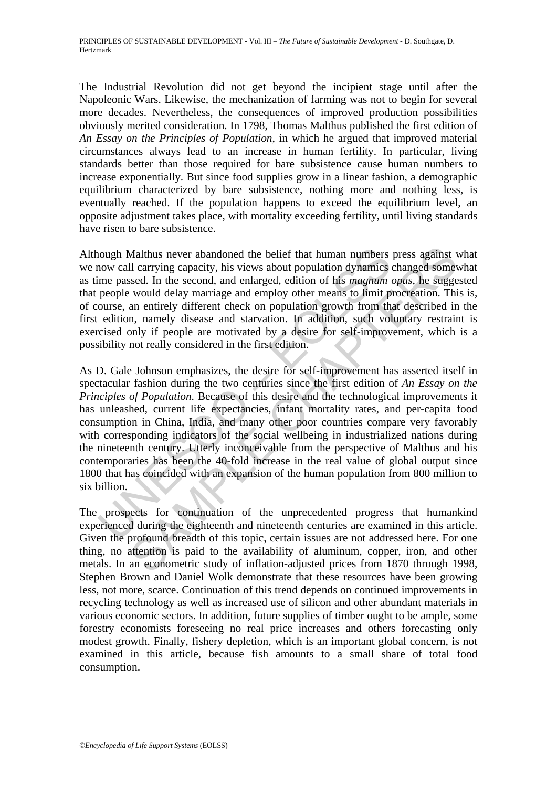The Industrial Revolution did not get beyond the incipient stage until after the Napoleonic Wars. Likewise, the mechanization of farming was not to begin for several more decades. Nevertheless, the consequences of improved production possibilities obviously merited consideration. In 1798, Thomas Malthus published the first edition of *An Essay on the Principles of Population*, in which he argued that improved material circumstances always lead to an increase in human fertility. In particular, living standards better than those required for bare subsistence cause human numbers to increase exponentially. But since food supplies grow in a linear fashion, a demographic equilibrium characterized by bare subsistence, nothing more and nothing less, is eventually reached. If the population happens to exceed the equilibrium level, an opposite adjustment takes place, with mortality exceeding fertility, until living standards have risen to bare subsistence.

Although Malthus never abandoned the belief that human numbers press against what we now call carrying capacity, his views about population dynamics changed somewhat as time passed. In the second, and enlarged, edition of his *magnum opus*, he suggested that people would delay marriage and employ other means to limit procreation. This is, of course, an entirely different check on population growth from that described in the first edition, namely disease and starvation. In addition, such voluntary restraint is exercised only if people are motivated by a desire for self-improvement, which is a possibility not really considered in the first edition.

hough Malthus never abandoned the belief that human numbers<br>now call carrying capacity, his views about population dynamics<br>ime passed. In the second, and enlarged, edition of his *magnum* in<br>people would delay marriage an Malthus never abandoned the belief that human numbers press against to ll carrying capacity, his views about population dynamics changed some<br>syssed. In the second, and enlanged, edition of this *magnum optis*, he suggest<br> As D. Gale Johnson emphasizes, the desire for self-improvement has asserted itself in spectacular fashion during the two centuries since the first edition of *An Essay on the Principles of Population*. Because of this desire and the technological improvements it has unleashed, current life expectancies, infant mortality rates, and per-capita food consumption in China, India, and many other poor countries compare very favorably with corresponding indicators of the social wellbeing in industrialized nations during the nineteenth century. Utterly inconceivable from the perspective of Malthus and his contemporaries has been the 40-fold increase in the real value of global output since 1800 that has coincided with an expansion of the human population from 800 million to six billion.

The prospects for continuation of the unprecedented progress that humankind experienced during the eighteenth and nineteenth centuries are examined in this article. Given the profound breadth of this topic, certain issues are not addressed here. For one thing, no attention is paid to the availability of aluminum, copper, iron, and other metals. In an econometric study of inflation-adjusted prices from 1870 through 1998, Stephen Brown and Daniel Wolk demonstrate that these resources have been growing less, not more, scarce. Continuation of this trend depends on continued improvements in recycling technology as well as increased use of silicon and other abundant materials in various economic sectors. In addition, future supplies of timber ought to be ample, some forestry economists foreseeing no real price increases and others forecasting only modest growth. Finally, fishery depletion, which is an important global concern, is not examined in this article, because fish amounts to a small share of total food consumption.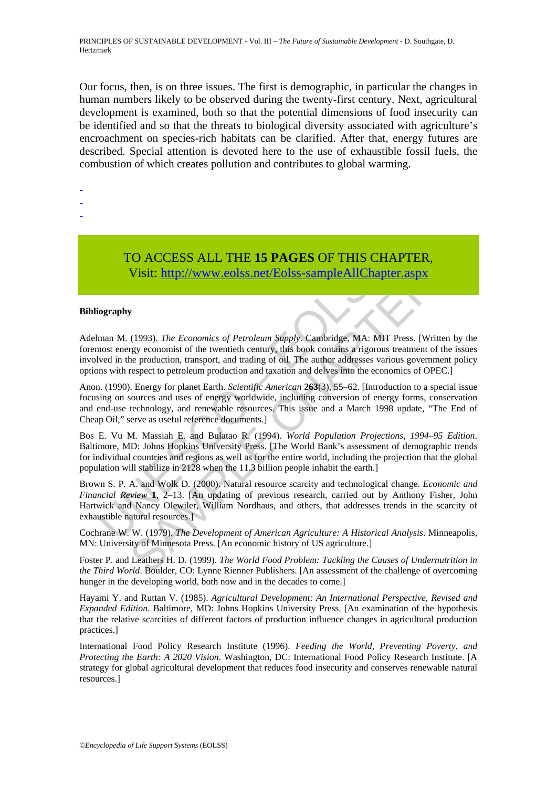Our focus, then, is on three issues. The first is demographic, in particular the changes in human numbers likely to be observed during the twenty-first century. Next, agricultural development is examined, both so that the potential dimensions of food insecurity can be identified and so that the threats to biological diversity associated with agriculture's encroachment on species-rich habitats can be clarified. After that, energy futures are described. Special attention is devoted here to the use of exhaustible fossil fuels, the combustion of which creates pollution and contributes to global warming.

-

- -
- -
- TO ACCESS ALL THE **15 PAGES** OF THIS CHAPTER, Visit: http://www.eolss.net/Eolss-sampleAllChapter.aspx

#### **Bibliography**

Adelman M. (1993). *The Economics of Petroleum Supply*. Cambridge, MA: MIT Press. [Written by the foremost energy economist of the twentieth century, this book contains a rigorous treatment of the issues involved in the production, transport, and trading of oil. The author addresses various government policy options with respect to petroleum production and taxation and delves into the economics of OPEC.]

Anon. (1990). Energy for planet Earth. *Scientific American* **263**(3), 55–62. [Introduction to a special issue focusing on sources and uses of energy worldwide, including conversion of energy forms, conservation and end-use technology, and renewable resources. This issue and a March 1998 update, "The End of Cheap Oil," serve as useful reference documents.]

TO ACCESS ALL THE 15 **PAGES** OF THIS CHANNIVIST USE VISIT: UNITELD VISIT: UNITELD VISIT: UNITELD VISIT: UNITELD MANNIVIST USIT: UNITELD MANNIMORE THE MEANNIMORE THE MORE THANDING IN THE MORE THANDING IN THE MORE THANDING I **TO ACCESS ALL THE 15 PAGES OF THIS CHAPTER,**<br>
Visit:  $\frac{http://www.eolss.net/Eolss-sampleAllChapter.18px}{http://www.eolss.net/Eolss-sampleAllChapter.18px}$ <br>
(1993). *The Economics of Petroleum Supply*: Cambridge, MA: MIT Press. [Written the ligy economics of the twentied rechtty Bos E. Vu M. Massiah E. and Bulatao R. (1994). *World Population Projections, 1994–95 Edition*. Baltimore, MD: Johns Hopkins University Press. [The World Bank's assessment of demographic trends for individual countries and regions as well as for the entire world, including the projection that the global population will stabilize in 2128 when the 11.3 billion people inhabit the earth.]

Brown S. P. A. and Wolk D. (2000). Natural resource scarcity and technological change. *Economic and Financial Review* **1**, 2–13. [An updating of previous research, carried out by Anthony Fisher, John Hartwick and Nancy Olewiler, William Nordhaus, and others, that addresses trends in the scarcity of exhaustible natural resources.]

Cochrane W. W. (1979). *The Development of American Agriculture: A Historical Analysis*. Minneapolis, MN: University of Minnesota Press. [An economic history of US agriculture.]

Foster P. and Leathers H. D. (1999). *The World Food Problem: Tackling the Causes of Undernutrition in the Third World*. Boulder, CO: Lynne Rienner Publishers. [An assessment of the challenge of overcoming hunger in the developing world, both now and in the decades to come.

Hayami Y. and Ruttan V. (1985). *Agricultural Development: An International Perspective, Revised and Expanded Edition*. Baltimore, MD: Johns Hopkins University Press. [An examination of the hypothesis that the relative scarcities of different factors of production influence changes in agricultural production practices.]

International Food Policy Research Institute (1996). *Feeding the World, Preventing Poverty, and Protecting the Earth: A 2020 Vision*. Washington, DC: International Food Policy Research Institute. [A strategy for global agricultural development that reduces food insecurity and conserves renewable natural resources.]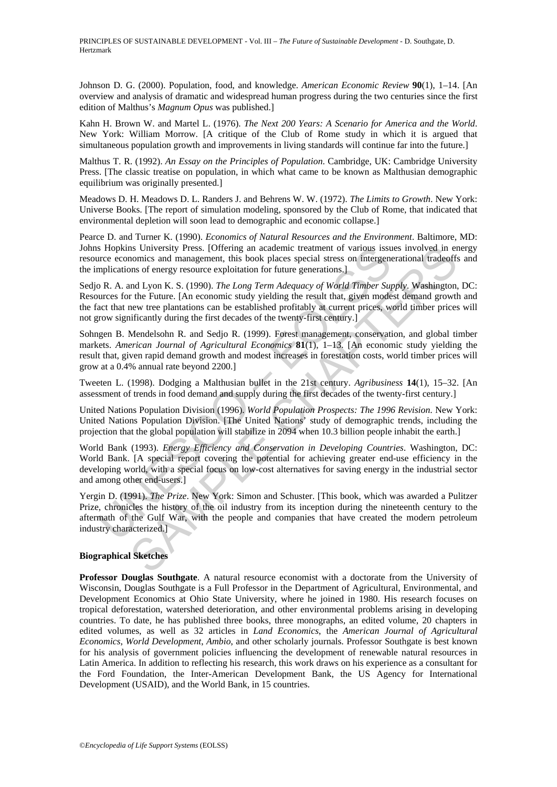PRINCIPLES OF SUSTAINABLE DEVELOPMENT - Vol. III – *The Future of Sustainable Development* - D. Southgate, D. Hertzmark

Johnson D. G. (2000). Population, food, and knowledge. *American Economic Review* **90**(1), 1–14. [An overview and analysis of dramatic and widespread human progress during the two centuries since the first edition of Malthus's *Magnum Opus* was published.]

Kahn H. Brown W. and Martel L. (1976). *The Next 200 Years: A Scenario for America and the World*. New York: William Morrow. [A critique of the Club of Rome study in which it is argued that simultaneous population growth and improvements in living standards will continue far into the future.]

Malthus T. R. (1992). *An Essay on the Principles of Population*. Cambridge, UK: Cambridge University Press. [The classic treatise on population, in which what came to be known as Malthusian demographic equilibrium was originally presented.]

Meadows D. H. Meadows D. L. Randers J. and Behrens W. W. (1972). *The Limits to Growth*. New York: Universe Books. [The report of simulation modeling, sponsored by the Club of Rome, that indicated that environmental depletion will soon lead to demographic and economic collapse.]

Pearce D. and Turner K. (1990). *Economics of Natural Resources and the Environment*. Baltimore, MD: Johns Hopkins University Press. [Offering an academic treatment of various issues involved in energy resource economics and management, this book places special stress on intergenerational tradeoffs and the implications of energy resource exploitation for future generations.]

Sedjo R. A. and Lyon K. S. (1990). *The Long Term Adequacy of World Timber Supply*. Washington, DC: Resources for the Future. [An economic study yielding the result that, given modest demand growth and the fact that new tree plantations can be established profitably at current prices, world timber prices will not grow significantly during the first decades of the twenty-first century.]

Sohngen B. Mendelsohn R. and Sedjo R. (1999). Forest management, conservation, and global timber markets. *American Journal of Agricultural Economics* **81**(1), 1–13. [An economic study yielding the result that, given rapid demand growth and modest increases in forestation costs, world timber prices will grow at a 0.4% annual rate beyond 2200.]

Tweeten L. (1998). Dodging a Malthusian bullet in the 21st century. *Agribusiness* **14**(1), 15–32. [An assessment of trends in food demand and supply during the first decades of the twenty-first century.]

United Nations Population Division (1996). *World Population Prospects: The 1996 Revision*. New York: United Nations Population Division. [The United Nations' study of demographic trends, including the projection that the global population will stabilize in 2094 when 10.3 billion people inhabit the earth.]

s Hopkins University Press. [Offering an academic treatment of various issumes<br>urce economics and management, this book places special stress on intergene<br>mplications of energy resource exploitation for thure generations]<br> Is University Press. [Offering an academic treatment of various issues involved in eral monomics and mangement. this book places special stress on intergenerational tradeoffisms of energy resource exploitation for future g World Bank (1993). *Energy Efficiency and Conservation in Developing Countries*. Washington, DC: World Bank. [A special report covering the potential for achieving greater end-use efficiency in the developing world, with a special focus on low-cost alternatives for saving energy in the industrial sector and among other end-users.]

Yergin D. (1991). *The Prize*. New York: Simon and Schuster. [This book, which was awarded a Pulitzer Prize, chronicles the history of the oil industry from its inception during the nineteenth century to the aftermath of the Gulf War, with the people and companies that have created the modern petroleum industry characterized.]

#### **Biographical Sketches**

**Professor Douglas Southgate**. A natural resource economist with a doctorate from the University of Wisconsin, Douglas Southgate is a Full Professor in the Department of Agricultural, Environmental, and Development Economics at Ohio State University, where he joined in 1980. His research focuses on tropical deforestation, watershed deterioration, and other environmental problems arising in developing countries. To date, he has published three books, three monographs, an edited volume, 20 chapters in edited volumes, as well as 32 articles in *Land Economics*, the *American Journal of Agricultural Economics*, *World Development*, *Ambio*, and other scholarly journals. Professor Southgate is best known for his analysis of government policies influencing the development of renewable natural resources in Latin America. In addition to reflecting his research, this work draws on his experience as a consultant for the Ford Foundation, the Inter-American Development Bank, the US Agency for International Development (USAID), and the World Bank, in 15 countries.